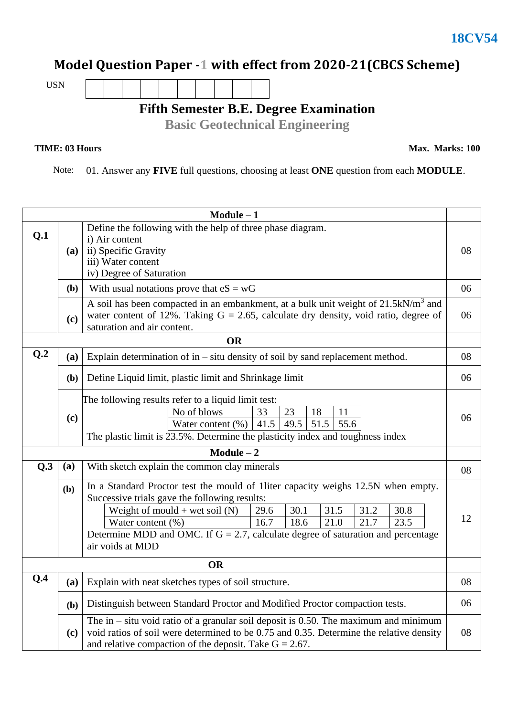## **Model Question Paper -1 with effect from 2020-21(CBCS Scheme)**

USN

**Fifth Semester B.E. Degree Examination**

**Basic Geotechnical Engineering**

## **TIME: 03 Hours**

**Max. Marks: 100**

Note: 01. Answer any **FIVE** full questions, choosing at least **ONE** question from each **MODULE**.

| $Module - 1$ |            |                                                                                                                                                                                                                                                                                                                                                                                       |    |  |  |  |  |
|--------------|------------|---------------------------------------------------------------------------------------------------------------------------------------------------------------------------------------------------------------------------------------------------------------------------------------------------------------------------------------------------------------------------------------|----|--|--|--|--|
| Q.1          | (a)        | Define the following with the help of three phase diagram.<br>i) Air content<br>ii) Specific Gravity<br>iii) Water content<br>iv) Degree of Saturation                                                                                                                                                                                                                                |    |  |  |  |  |
|              | <b>(b)</b> | With usual notations prove that $eS = wG$                                                                                                                                                                                                                                                                                                                                             | 06 |  |  |  |  |
|              | (c)        | A soil has been compacted in an embankment, at a bulk unit weight of 21.5kN/m <sup>3</sup> and<br>water content of 12%. Taking $G = 2.65$ , calculate dry density, void ratio, degree of<br>saturation and air content.                                                                                                                                                               |    |  |  |  |  |
|              |            | <b>OR</b>                                                                                                                                                                                                                                                                                                                                                                             |    |  |  |  |  |
| Q.2          | (a)        | Explain determination of in $-$ situ density of soil by sand replacement method.                                                                                                                                                                                                                                                                                                      | 08 |  |  |  |  |
|              | (b)        | Define Liquid limit, plastic limit and Shrinkage limit                                                                                                                                                                                                                                                                                                                                |    |  |  |  |  |
|              | (c)        | The following results refer to a liquid limit test:<br>No of blows<br>33<br>23<br>18<br>11<br>Water content $(\frac{9}{0})$ 41.5<br>49.5<br>51.5<br>55.6<br>The plastic limit is 23.5%. Determine the plasticity index and toughness index                                                                                                                                            |    |  |  |  |  |
|              |            | $Module - 2$                                                                                                                                                                                                                                                                                                                                                                          |    |  |  |  |  |
| Q.3          | (a)        | With sketch explain the common clay minerals                                                                                                                                                                                                                                                                                                                                          |    |  |  |  |  |
|              | (b)        | In a Standard Proctor test the mould of 1liter capacity weighs 12.5N when empty.<br>Successive trials gave the following results:<br>Weight of mould + wet soil $(N)$<br>30.1<br>31.5<br>31.2<br>29.6<br>30.8<br>16.7<br>23.5<br>Water content (%)<br>18.6<br>21.0<br>21.7<br>Determine MDD and OMC. If $G = 2.7$ , calculate degree of saturation and percentage<br>air voids at MDD | 12 |  |  |  |  |
| <b>OR</b>    |            |                                                                                                                                                                                                                                                                                                                                                                                       |    |  |  |  |  |
| Q.4          |            | $(a)$ Explain with neat sketches types of soil structure.                                                                                                                                                                                                                                                                                                                             |    |  |  |  |  |
|              | (b)        | Distinguish between Standard Proctor and Modified Proctor compaction tests.                                                                                                                                                                                                                                                                                                           |    |  |  |  |  |
|              | (c)        | The in $-$ situ void ratio of a granular soil deposit is 0.50. The maximum and minimum<br>void ratios of soil were determined to be 0.75 and 0.35. Determine the relative density<br>and relative compaction of the deposit. Take $G = 2.67$ .                                                                                                                                        |    |  |  |  |  |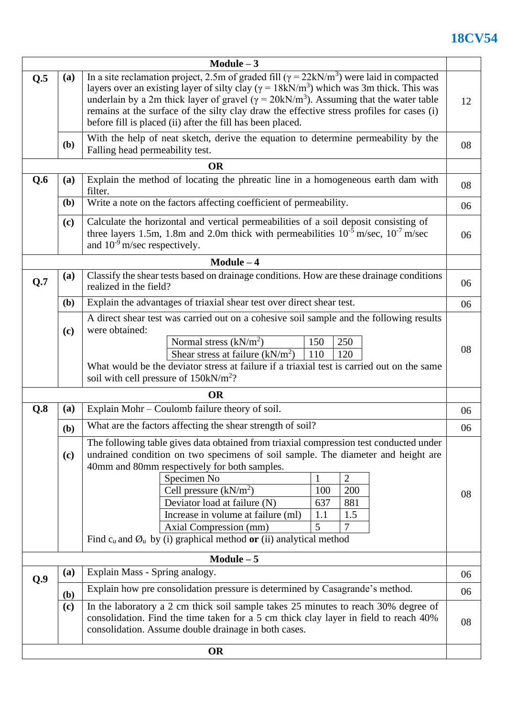## **18CV54**

|              |                                                                                                                                                                                                                                                                                                                                                                                                                                                                                       | Module $-3$                                                                                                                                                                                                                                                                                                                                                                                                                                                                                                                                               |    |  |  |  |  |
|--------------|---------------------------------------------------------------------------------------------------------------------------------------------------------------------------------------------------------------------------------------------------------------------------------------------------------------------------------------------------------------------------------------------------------------------------------------------------------------------------------------|-----------------------------------------------------------------------------------------------------------------------------------------------------------------------------------------------------------------------------------------------------------------------------------------------------------------------------------------------------------------------------------------------------------------------------------------------------------------------------------------------------------------------------------------------------------|----|--|--|--|--|
| Q.5          | In a site reclamation project, 2.5m of graded fill ( $\gamma = 22kN/m^3$ ) were laid in compacted<br>(a)<br>layers over an existing layer of silty clay ( $\gamma = 18kN/m^3$ ) which was 3m thick. This was<br>underlain by a 2m thick layer of gravel ( $\gamma = 20$ kN/m <sup>3</sup> ). Assuming that the water table<br>remains at the surface of the silty clay draw the effective stress profiles for cases (i)<br>before fill is placed (ii) after the fill has been placed. |                                                                                                                                                                                                                                                                                                                                                                                                                                                                                                                                                           |    |  |  |  |  |
|              | With the help of neat sketch, derive the equation to determine permeability by the<br>( <b>b</b> )<br>Falling head permeability test.                                                                                                                                                                                                                                                                                                                                                 |                                                                                                                                                                                                                                                                                                                                                                                                                                                                                                                                                           |    |  |  |  |  |
|              |                                                                                                                                                                                                                                                                                                                                                                                                                                                                                       | <b>OR</b>                                                                                                                                                                                                                                                                                                                                                                                                                                                                                                                                                 |    |  |  |  |  |
| Q.6          | Explain the method of locating the phreatic line in a homogeneous earth dam with<br>(a)<br>filter.<br>Write a note on the factors affecting coefficient of permeability.<br>( <b>b</b> )                                                                                                                                                                                                                                                                                              |                                                                                                                                                                                                                                                                                                                                                                                                                                                                                                                                                           |    |  |  |  |  |
|              |                                                                                                                                                                                                                                                                                                                                                                                                                                                                                       |                                                                                                                                                                                                                                                                                                                                                                                                                                                                                                                                                           |    |  |  |  |  |
|              | Calculate the horizontal and vertical permeabilities of a soil deposit consisting of<br>(c)<br>three layers 1.5m, 1.8m and 2.0m thick with permeabilities $10^{-5}$ m/sec, $10^{-7}$ m/sec<br>and $10^{-9}$ m/sec respectively.                                                                                                                                                                                                                                                       |                                                                                                                                                                                                                                                                                                                                                                                                                                                                                                                                                           |    |  |  |  |  |
| $Module - 4$ |                                                                                                                                                                                                                                                                                                                                                                                                                                                                                       |                                                                                                                                                                                                                                                                                                                                                                                                                                                                                                                                                           |    |  |  |  |  |
| Q.7          | (a)                                                                                                                                                                                                                                                                                                                                                                                                                                                                                   | Classify the shear tests based on drainage conditions. How are these drainage conditions<br>realized in the field?                                                                                                                                                                                                                                                                                                                                                                                                                                        | 06 |  |  |  |  |
|              | (b)                                                                                                                                                                                                                                                                                                                                                                                                                                                                                   | Explain the advantages of triaxial shear test over direct shear test.                                                                                                                                                                                                                                                                                                                                                                                                                                                                                     | 06 |  |  |  |  |
|              | (c)                                                                                                                                                                                                                                                                                                                                                                                                                                                                                   | A direct shear test was carried out on a cohesive soil sample and the following results<br>were obtained:<br>Normal stress $(kN/m2)$<br>150<br>250<br>Shear stress at failure $(kN/m^2)$<br>110<br>120<br>What would be the deviator stress at failure if a triaxial test is carried out on the same<br>soil with cell pressure of $150 \text{kN/m}^2$ ?                                                                                                                                                                                                  | 08 |  |  |  |  |
|              |                                                                                                                                                                                                                                                                                                                                                                                                                                                                                       | <b>OR</b>                                                                                                                                                                                                                                                                                                                                                                                                                                                                                                                                                 |    |  |  |  |  |
| Q.8          | (a)                                                                                                                                                                                                                                                                                                                                                                                                                                                                                   | Explain Mohr – Coulomb failure theory of soil.                                                                                                                                                                                                                                                                                                                                                                                                                                                                                                            | 06 |  |  |  |  |
|              | (b)                                                                                                                                                                                                                                                                                                                                                                                                                                                                                   | What are the factors affecting the shear strength of soil?                                                                                                                                                                                                                                                                                                                                                                                                                                                                                                | 06 |  |  |  |  |
|              | (c)                                                                                                                                                                                                                                                                                                                                                                                                                                                                                   | The following table gives data obtained from triaxial compression test conducted under<br>undrained condition on two specimens of soil sample. The diameter and height are<br>40mm and 80mm respectively for both samples.<br>Specimen No<br>$\overline{2}$<br>$\mathbf{1}$<br>Cell pressure $(kN/m2)$<br>200<br>100<br>Deviator load at failure (N)<br>881<br>637<br>Increase in volume at failure (ml)<br>1.5<br>1.1<br>5 <sup>5</sup><br>7<br>Axial Compression (mm)<br>Find $c_u$ and $\emptyset_u$ by (i) graphical method or (ii) analytical method | 08 |  |  |  |  |
|              |                                                                                                                                                                                                                                                                                                                                                                                                                                                                                       | $Module - 5$                                                                                                                                                                                                                                                                                                                                                                                                                                                                                                                                              |    |  |  |  |  |
| Q.9          | (a)                                                                                                                                                                                                                                                                                                                                                                                                                                                                                   | Explain Mass - Spring analogy.                                                                                                                                                                                                                                                                                                                                                                                                                                                                                                                            |    |  |  |  |  |
|              | (b)                                                                                                                                                                                                                                                                                                                                                                                                                                                                                   | Explain how pre consolidation pressure is determined by Casagrande's method.                                                                                                                                                                                                                                                                                                                                                                                                                                                                              |    |  |  |  |  |
|              | (c)                                                                                                                                                                                                                                                                                                                                                                                                                                                                                   | In the laboratory a 2 cm thick soil sample takes 25 minutes to reach 30% degree of<br>consolidation. Find the time taken for a 5 cm thick clay layer in field to reach 40%<br>consolidation. Assume double drainage in both cases.                                                                                                                                                                                                                                                                                                                        | 08 |  |  |  |  |
|              |                                                                                                                                                                                                                                                                                                                                                                                                                                                                                       | OR                                                                                                                                                                                                                                                                                                                                                                                                                                                                                                                                                        |    |  |  |  |  |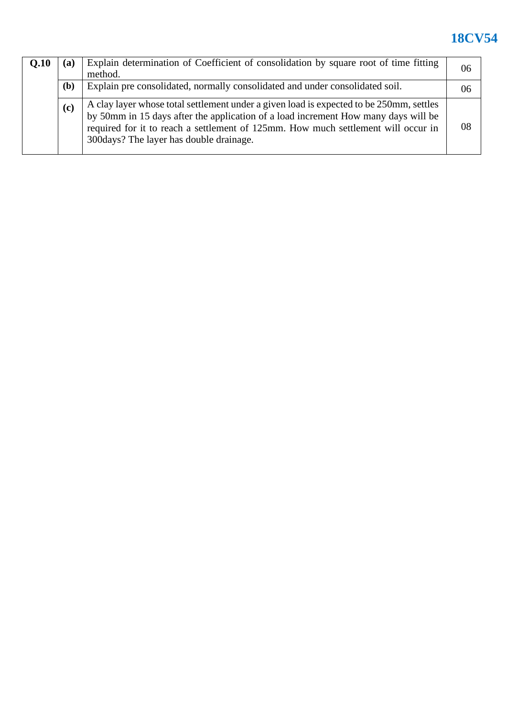## **18CV54**

| Q.10 | (a)                                                                                          | Explain determination of Coefficient of consolidation by square root of time fitting<br>method.                                                                                                                                                                                                                |    |  |
|------|----------------------------------------------------------------------------------------------|----------------------------------------------------------------------------------------------------------------------------------------------------------------------------------------------------------------------------------------------------------------------------------------------------------------|----|--|
|      | ( <b>b</b> )<br>Explain pre consolidated, normally consolidated and under consolidated soil. |                                                                                                                                                                                                                                                                                                                |    |  |
|      | (c)                                                                                          | A clay layer whose total settlement under a given load is expected to be 250mm, settles<br>by 50mm in 15 days after the application of a load increment How many days will be<br>required for it to reach a settlement of 125mm. How much settlement will occur in<br>300 days? The layer has double drainage. | 08 |  |